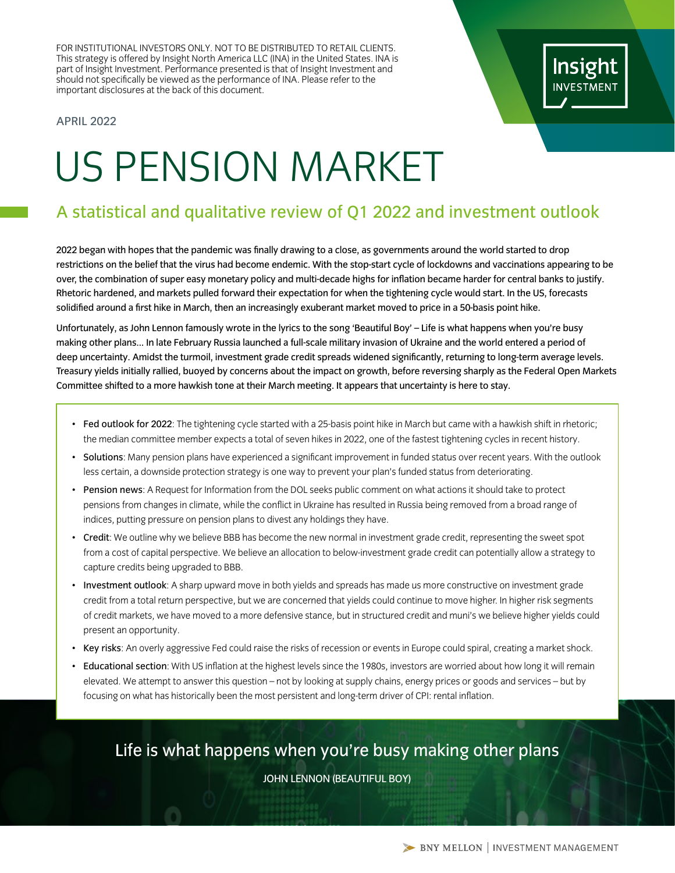FOR INSTITUTIONAL INVESTORS ONLY. NOT TO BE DISTRIBUTED TO RETAIL CLIENTS. This strategy is offered by Insight North America LLC (INA) in the United States. INA is part of Insight Investment. Performance presented is that of Insight Investment and should not specifically be viewed as the performance of INA. Please refer to the important disclosures at the back of this document.

### APRIL 2022

# US PENSION MARKET

# A statistical and qualitative review of Q1 2022 and investment outlook

2022 began with hopes that the pandemic was finally drawing to a close, as governments around the world started to drop restrictions on the belief that the virus had become endemic. With the stop-start cycle of lockdowns and vaccinations appearing to be over, the combination of super easy monetary policy and multi-decade highs for inflation became harder for central banks to justify. Rhetoric hardened, and markets pulled forward their expectation for when the tightening cycle would start. In the US, forecasts solidified around a first hike in March, then an increasingly exuberant market moved to price in a 50-basis point hike.

Unfortunately, as John Lennon famously wrote in the lyrics to the song 'Beautiful Boy' – Life is what happens when you're busy making other plans... In late February Russia launched a full-scale military invasion of Ukraine and the world entered a period of deep uncertainty. Amidst the turmoil, investment grade credit spreads widened significantly, returning to long-term average levels. Treasury yields initially rallied, buoyed by concerns about the impact on growth, before reversing sharply as the Federal Open Markets Committee shifted to a more hawkish tone at their March meeting. It appears that uncertainty is here to stay.

- Fed outlook for 2022: The tightening cycle started with a 25-basis point hike in March but came with a hawkish shift in rhetoric; the median committee member expects a total of seven hikes in 2022, one of the fastest tightening cycles in recent history.
- Solutions: Many pension plans have experienced a significant improvement in funded status over recent years. With the outlook less certain, a downside protection strategy is one way to prevent your plan's funded status from deteriorating.
- Pension news: A Request for Information from the DOL seeks public comment on what actions it should take to protect pensions from changes in climate, while the conflict in Ukraine has resulted in Russia being removed from a broad range of indices, putting pressure on pension plans to divest any holdings they have.
- Credit: We outline why we believe BBB has become the new normal in investment grade credit, representing the sweet spot from a cost of capital perspective. We believe an allocation to below-investment grade credit can potentially allow a strategy to capture credits being upgraded to BBB.
- Investment outlook: A sharp upward move in both yields and spreads has made us more constructive on investment grade credit from a total return perspective, but we are concerned that yields could continue to move higher. In higher risk segments of credit markets, we have moved to a more defensive stance, but in structured credit and muni's we believe higher yields could present an opportunity.
- Key risks: An overly aggressive Fed could raise the risks of recession or events in Europe could spiral, creating a market shock.
- Educational section: With US inflation at the highest levels since the 1980s, investors are worried about how long it will remain elevated. We attempt to answer this question – not by looking at supply chains, energy prices or goods and services – but by focusing on what has historically been the most persistent and long-term driver of CPI: rental inflation.

Life is what happens when you're busy making other plans

JOHN LENNON (BEAUTIFUL BOY)

Insight **INVESTMENT**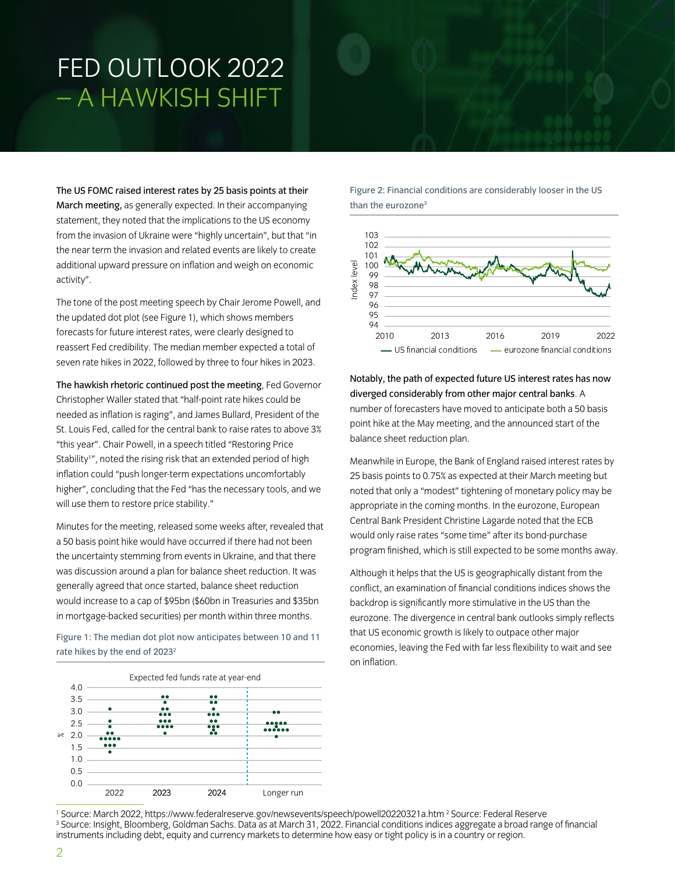# FED OUTLOOK 2022 – A HAWKISH SHIFT

The US FOMC raised interest rates by 25 basis points at their March meeting, as generally expected. In their accompanying statement, they noted that the implications to the US economy from the invasion of Ukraine were "highly uncertain", but that "in the near term the invasion and related events are likely to create additional upward pressure on inflation and weigh on economic activity".

The tone of the post meeting speech by Chair Jerome Powell, and the updated dot plot (see Figure 1), which shows members forecasts for future interest rates, were clearly designed to reassert Fed credibility. The median member expected a total of seven rate hikes in 2022, followed by three to four hikes in 2023.

The hawkish rhetoric continued post the meeting, Fed Governor Christopher Waller stated that "half-point rate hikes could be needed as inflation is raging", and James Bullard, President of the St. Louis Fed, called for the central bank to raise rates to above 3% "this year". Chair Powell, in a speech titled "Restoring Price Stability1 ", noted the rising risk that an extended period of high inflation could "push longer-term expectations uncomfortably higher", concluding that the Fed "has the necessary tools, and we will use them to restore price stability."

Minutes for the meeting, released some weeks after, revealed that a 50 basis point hike would have occurred if there had not been the uncertainty stemming from events in Ukraine, and that there was discussion around a plan for balance sheet reduction. It was generally agreed that once started, balance sheet reduction would increase to a cap of \$95bn (\$60bn in Treasuries and \$35bn in mortgage-backed securities) per month within three months.

Figure 1: The median dot plot now anticipates between 10 and 11 rate hikes by the end of 2023<sup>2</sup>



Figure 2: Financial conditions are considerably looser in the US than the eurozone<sup>3</sup>



Notably, the path of expected future US interest rates has now diverged considerably from other major central banks. A number of forecasters have moved to anticipate both a 50 basis point hike at the May meeting, and the announced start of the balance sheet reduction plan.

Meanwhile in Europe, the Bank of England raised interest rates by 25 basis points to 0.75% as expected at their March meeting but noted that only a "modest" tightening of monetary policy may be appropriate in the coming months. In the eurozone, European Central Bank President Christine Lagarde noted that the ECB would only raise rates "some time" after its bond-purchase program finished, which is still expected to be some months away.

Although it helps that the US is geographically distant from the conflict, an examination of financial conditions indices shows the backdrop is significantly more stimulative in the US than the eurozone. The divergence in central bank outlooks simply reflects that US economic growth is likely to outpace other major economies, leaving the Fed with far less flexibility to wait and see on inflation.

<sup>&</sup>lt;sup>1</sup> Source: March 2022, https://www.federalreserve.gov/newsevents/speech/powell20220321a.htm <sup>2</sup> Source: Federal Reserve<br><sup>3</sup> Source: Insight, Bloomberg, Goldman Sachs, Data as at March 31, 2022, Einancial conditions indice <sup>3</sup> Source: Insight, Bloomberg, Goldman Sachs. Data as at March 31, 2022. Financial conditions indices aggregate a broad range of financial instruments including debt, equity and currency markets to determine how easy or tight policy is in a country or region.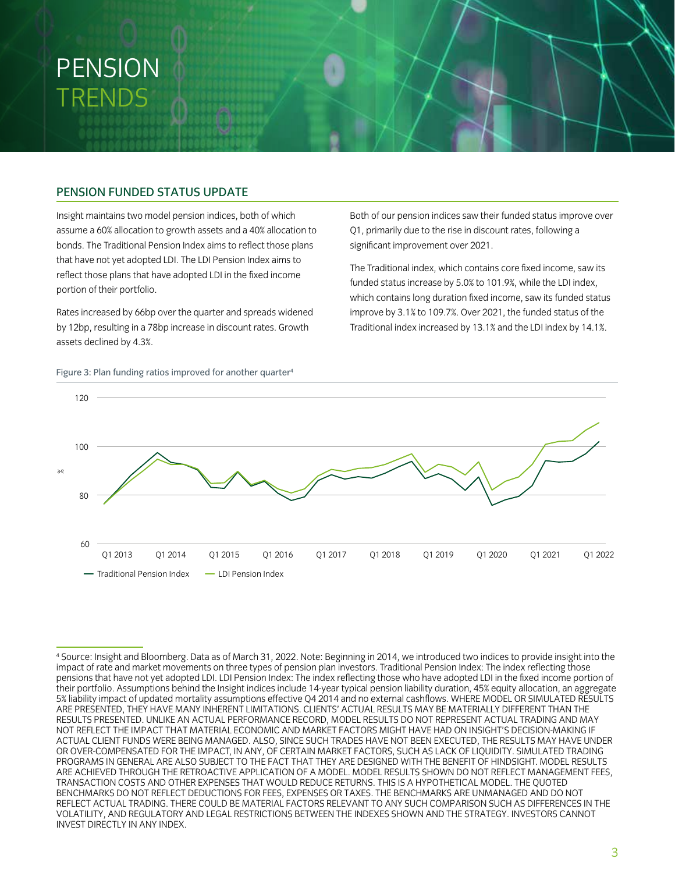# PENSION TRENDS

# PENSION FUNDED STATUS UPDATE

Insight maintains two model pension indices, both of which assume a 60% allocation to growth assets and a 40% allocation to bonds. The Traditional Pension Index aims to reflect those plans that have not yet adopted LDI. The LDI Pension Index aims to reflect those plans that have adopted LDI in the fixed income portion of their portfolio.

Rates increased by 66bp over the quarter and spreads widened by 12bp, resulting in a 78bp increase in discount rates. Growth assets declined by 4.3%.

Figure 3: Plan funding ratios improved for another quarter<sup>4</sup>

Both of our pension indices saw their funded status improve over Q1, primarily due to the rise in discount rates, following a significant improvement over 2021.

The Traditional index, which contains core fixed income, saw its funded status increase by 5.0% to 101.9%, while the LDI index, which contains long duration fixed income, saw its funded status improve by 3.1% to 109.7%. Over 2021, the funded status of the Traditional index increased by 13.1% and the LDI index by 14.1%.



<sup>4</sup> Source: Insight and Bloomberg. Data as of March 31, 2022. Note: Beginning in 2014, we introduced two indices to provide insight into the impact of rate and market movements on three types of pension plan investors. Traditional Pension Index: The index reflecting those pensions that have not yet adopted LDI. LDI Pension Index: The index reflecting those who have adopted LDI in the fixed income portion of their portfolio. Assumptions behind the Insight indices include 14-year typical pension liability duration, 45% equity allocation, an aggregate 5% liability impact of updated mortality assumptions effective Q4 2014 and no external cashflows. WHERE MODEL OR SIMULATED RESULTS ARE PRESENTED, THEY HAVE MANY INHERENT LIMITATIONS. CLIENTS' ACTUAL RESULTS MAY BE MATERIALLY DIFFERENT THAN THE RESULTS PRESENTED. UNLIKE AN ACTUAL PERFORMANCE RECORD, MODEL RESULTS DO NOT REPRESENT ACTUAL TRADING AND MAY NOT REFLECT THE IMPACT THAT MATERIAL ECONOMIC AND MARKET FACTORS MIGHT HAVE HAD ON INSIGHT'S DECISION-MAKING IF ACTUAL CLIENT FUNDS WERE BEING MANAGED. ALSO, SINCE SUCH TRADES HAVE NOT BEEN EXECUTED, THE RESULTS MAY HAVE UNDER OR OVER-COMPENSATED FOR THE IMPACT, IN ANY, OF CERTAIN MARKET FACTORS, SUCH AS LACK OF LIQUIDITY. SIMULATED TRADING PROGRAMS IN GENERAL ARE ALSO SUBJECT TO THE FACT THAT THEY ARE DESIGNED WITH THE BENEFIT OF HINDSIGHT. MODEL RESULTS ARE ACHIEVED THROUGH THE RETROACTIVE APPLICATION OF A MODEL. MODEL RESULTS SHOWN DO NOT REFLECT MANAGEMENT FEES, TRANSACTION COSTS AND OTHER EXPENSES THAT WOULD REDUCE RETURNS. THIS IS A HYPOTHETICAL MODEL. THE QUOTED BENCHMARKS DO NOT REFLECT DEDUCTIONS FOR FEES, EXPENSES OR TAXES. THE BENCHMARKS ARE UNMANAGED AND DO NOT REFLECT ACTUAL TRADING. THERE COULD BE MATERIAL FACTORS RELEVANT TO ANY SUCH COMPARISON SUCH AS DIFFERENCES IN THE VOLATILITY, AND REGULATORY AND LEGAL RESTRICTIONS BETWEEN THE INDEXES SHOWN AND THE STRATEGY. INVESTORS CANNOT INVEST DIRECTLY IN ANY INDEX.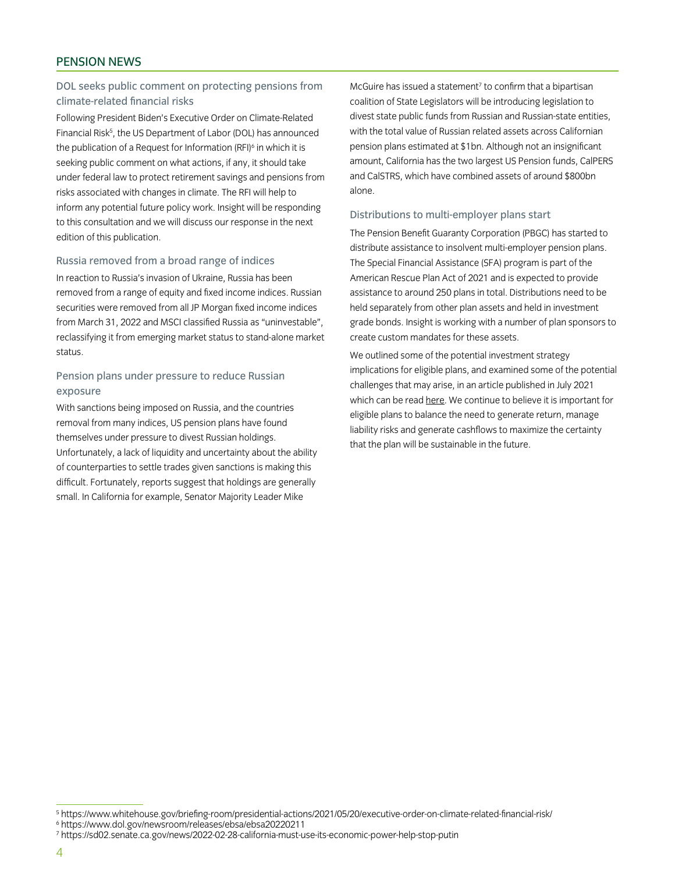# PENSION NEWS

# DOL seeks public comment on protecting pensions from climate-related financial risks

Following President Biden's Executive Order on Climate-Related Financial Risk<sup>5</sup>, the US Department of Labor (DOL) has announced the publication of a Request for Information (RFI)<sup>6</sup> in which it is seeking public comment on what actions, if any, it should take under federal law to protect retirement savings and pensions from risks associated with changes in climate. The RFI will help to inform any potential future policy work. Insight will be responding to this consultation and we will discuss our response in the next edition of this publication.

#### Russia removed from a broad range of indices

In reaction to Russia's invasion of Ukraine, Russia has been removed from a range of equity and fixed income indices. Russian securities were removed from all JP Morgan fixed income indices from March 31, 2022 and MSCI classified Russia as "uninvestable", reclassifying it from emerging market status to stand-alone market status.

# Pension plans under pressure to reduce Russian exposure

With sanctions being imposed on Russia, and the countries removal from many indices, US pension plans have found themselves under pressure to divest Russian holdings. Unfortunately, a lack of liquidity and uncertainty about the ability of counterparties to settle trades given sanctions is making this difficult. Fortunately, reports suggest that holdings are generally small. In California for example, Senator Majority Leader Mike

McGuire has issued a statement<sup>7</sup> to confirm that a bipartisan coalition of State Legislators will be introducing legislation to divest state public funds from Russian and Russian-state entities, with the total value of Russian related assets across Californian pension plans estimated at \$1bn. Although not an insignificant amount, California has the two largest US Pension funds, CalPERS and CalSTRS, which have combined assets of around \$800bn alone.

#### Distributions to multi-employer plans start

The Pension Benefit Guaranty Corporation (PBGC) has started to distribute assistance to insolvent multi-employer pension plans. The Special Financial Assistance (SFA) program is part of the American Rescue Plan Act of 2021 and is expected to provide assistance to around 250 plans in total. Distributions need to be held separately from other plan assets and held in investment grade bonds. Insight is working with a number of plan sponsors to create custom mandates for these assets.

We outlined some of the potential investment strategy implications for eligible plans, and examined some of the potential challenges that may arise, in an article published in July 2021 which can be read [here](https://www.insightinvestment.com/united-states/perspectives/butch-lewis-act-update/). We continue to believe it is important for eligible plans to balance the need to generate return, manage liability risks and generate cashflows to maximize the certainty that the plan will be sustainable in the future.

<sup>5</sup> https://www.whitehouse.gov/briefing-room/presidential-actions/2021/05/20/executive-order-on-climate-related-financial-risk/

<sup>6</sup> https://www.dol.gov/newsroom/releases/ebsa/ebsa20220211

<sup>7</sup> https://sd02.senate.ca.gov/news/2022-02-28-california-must-use-its-economic-power-help-stop-putin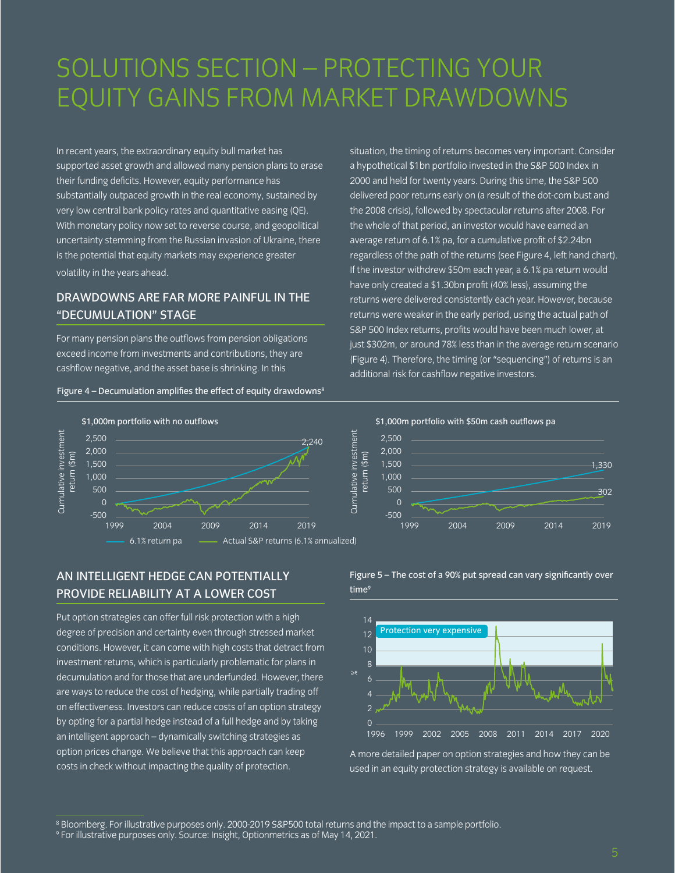# SOLUTIONS SECTION – PROTECTING YOUR EQUITY GAINS FROM MARKET DRAWDOWNS

In recent years, the extraordinary equity bull market has supported asset growth and allowed many pension plans to erase their funding deficits. However, equity performance has substantially outpaced growth in the real economy, sustained by very low central bank policy rates and quantitative easing (QE). With monetary policy now set to reverse course, and geopolitical uncertainty stemming from the Russian invasion of Ukraine, there is the potential that equity markets may experience greater volatility in the years ahead.

# DRAWDOWNS ARE FAR MORE PAINFUL IN THE "DECUMULATION" STAGE

For many pension plans the outflows from pension obligations exceed income from investments and contributions, they are cashflow negative, and the asset base is shrinking. In this

#### Figure  $4$  – Decumulation amplifies the effect of equity drawdowns<sup>8</sup>

situation, the timing of returns becomes very important. Consider a hypothetical \$1bn portfolio invested in the S&P 500 Index in 2000 and held for twenty years. During this time, the S&P 500 delivered poor returns early on (a result of the dot-com bust and the 2008 crisis), followed by spectacular returns after 2008. For the whole of that period, an investor would have earned an average return of 6.1% pa, for a cumulative profit of \$2.24bn regardless of the path of the returns (see Figure 4, left hand chart). If the investor withdrew \$50m each year, a 6.1% pa return would have only created a \$1.30bn profit (40% less), assuming the returns were delivered consistently each year. However, because returns were weaker in the early period, using the actual path of S&P 500 Index returns, profits would have been much lower, at just \$302m, or around 78% less than in the average return scenario (Figure 4). Therefore, the timing (or "sequencing") of returns is an additional risk for cashflow negative investors.





# AN INTELLIGENT HEDGE CAN POTENTIALLY PROVIDE RELIABILITY AT A LOWER COST

Put option strategies can offer full risk protection with a high degree of precision and certainty even through stressed market conditions. However, it can come with high costs that detract from investment returns, which is particularly problematic for plans in decumulation and for those that are underfunded. However, there are ways to reduce the cost of hedging, while partially trading off on effectiveness. Investors can reduce costs of an option strategy by opting for a partial hedge instead of a full hedge and by taking an intelligent approach – dynamically switching strategies as option prices change. We believe that this approach can keep costs in check without impacting the quality of protection.

Figure 5 – The cost of a 90% put spread can vary significantly over time<sup>9</sup>



A more detailed paper on option strategies and how they can be used in an equity protection strategy is available on request.

<sup>8</sup> Bloomberg. For illustrative purposes only. 2000-2019 S&P500 total returns and the impact to a sample portfolio.

<sup>9</sup> For illustrative purposes only. Source: Insight, Optionmetrics as of May 14, 2021.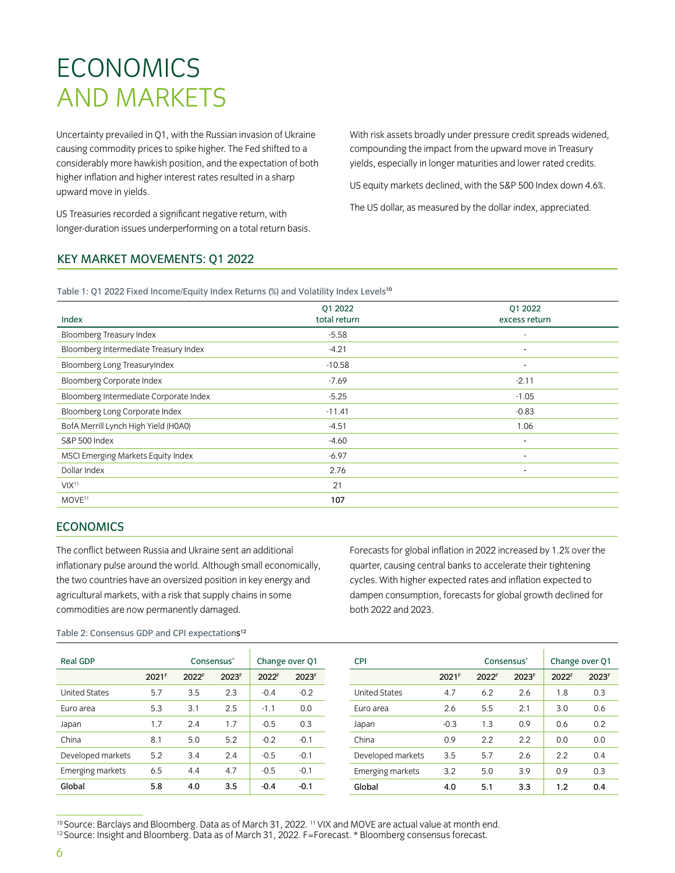# ECONOMICS AND MARKETS

Uncertainty prevailed in Q1, with the Russian invasion of Ukraine causing commodity prices to spike higher. The Fed shifted to a considerably more hawkish position, and the expectation of both higher inflation and higher interest rates resulted in a sharp upward move in yields.

US Treasuries recorded a significant negative return, with longer-duration issues underperforming on a total return basis. With risk assets broadly under pressure credit spreads widened, compounding the impact from the upward move in Treasury yields, especially in longer maturities and lower rated credits.

US equity markets declined, with the S&P 500 Index down 4.6%.

The US dollar, as measured by the dollar index, appreciated.

# KEY MARKET MOVEMENTS: Q1 2022

Table 1: 01 2022 Fixed Income/Equity Index Returns (%) and Volatility Index Levels<sup>10</sup>

| Index                                  | 01 2022<br>total return | 01 2022<br>excess return |
|----------------------------------------|-------------------------|--------------------------|
| Bloomberg Treasury Index               | $-5.58$                 | ٠                        |
| Bloomberg Intermediate Treasury Index  | $-4.21$                 | $\blacksquare$           |
| Bloomberg Long TreasuryIndex           | $-10.58$                | $\sim$                   |
| Bloomberg Corporate Index              | $-7.69$                 | $-2.11$                  |
| Bloomberg Intermediate Corporate Index | $-5.25$                 | $-1.05$                  |
| Bloomberg Long Corporate Index         | $-11.41$                | $-0.83$                  |
| BofA Merrill Lynch High Yield (H0A0)   | $-4.51$                 | 1.06                     |
| <b>S&amp;P 500 Index</b>               | $-4.60$                 | $\blacksquare$           |
| MSCI Emerging Markets Equity Index     | $-6.97$                 | ٠                        |
| Dollar Index                           | 2.76                    | $\sim$                   |
| VIX <sup>11</sup>                      | 21                      |                          |
| MOVE <sup>11</sup>                     | 107                     |                          |
|                                        |                         |                          |

# **ECONOMICS**

The conflict between Russia and Ukraine sent an additional inflationary pulse around the world. Although small economically, the two countries have an oversized position in key energy and agricultural markets, with a risk that supply chains in some commodities are now permanently damaged.

Forecasts for global inflation in 2022 increased by 1.2% over the quarter, causing central banks to accelerate their tightening cycles. With higher expected rates and inflation expected to dampen consumption, forecasts for global growth declined for both 2022 and 2023.

Table 2: Consensus GDP and CPI expectations<sup>12</sup>

| <b>Real GDP</b>      |                   | Consensus <sup>*</sup> |       |        | Change over Q1 | <b>CPI</b>           |                   | Consensus <sup>*</sup> |       | Change over 01 |       |
|----------------------|-------------------|------------------------|-------|--------|----------------|----------------------|-------------------|------------------------|-------|----------------|-------|
|                      | 2021 <sup>F</sup> | 2022 <sup>F</sup>      | 2023F | 2022F  | 2023F          |                      | 2021 <sup>F</sup> | 2022F                  | 2023F | 2022F          | 2023F |
| <b>United States</b> | 5.7               | 3.5                    | 2.3   | $-0.4$ | $-0.2$         | <b>United States</b> | 4.7               | 6.2                    | 2.6   | 1.8            | 0.3   |
| Euro area            | 5.3               | 3.1                    | 2.5   | $-1.1$ | 0.0            | Euro area            | 2.6               | 5.5                    | 2.1   | 3.0            | 0.6   |
| Japan                | 1.7               | 2.4                    | 1.7   | $-0.5$ | 0.3            | Japan                | $-0.3$            | 1.3                    | 0.9   | 0.6            | 0.2   |
| China                | 8.1               | 5.0                    | 5.2   | $-0.2$ | $-0.1$         | China                | 0.9               | 2.2                    | 2.2   | 0.0            | 0.0   |
| Developed markets    | 5.2               | 3.4                    | 2.4   | $-0.5$ | $-0.1$         | Developed markets    | 3.5               | 5.7                    | 2.6   | 2.2            | 0.4   |
| Emerging markets     | 6.5               | 4.4                    | 4.7   | $-0.5$ | $-0.1$         | Emerging markets     | 3.2               | 5.0                    | 3.9   | 0.9            | 0.3   |
| Global               | 5.8               | 4.0                    | 3.5   | $-0.4$ | $-0.1$         | Global               | 4.0               | 5.1                    | 3.3   | 1.2            | 0.4   |
|                      |                   |                        |       |        |                |                      |                   |                        |       |                |       |

<sup>10</sup> Source: Barclays and Bloomberg. Data as of March 31, 2022. <sup>11</sup> VIX and MOVE are actual value at month end. <sup>12</sup> Source: Insight and Bloomberg. Data as of March 31, 2022. F=Forecast. \* Bloomberg consensus forecast.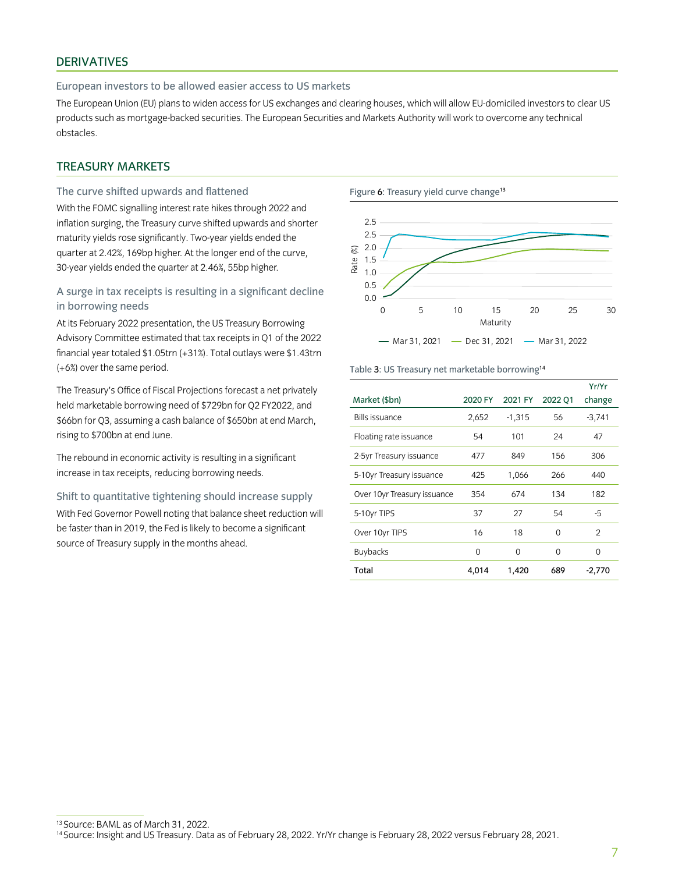# DERIVATIVES

#### European investors to be allowed easier access to US markets

The European Union (EU) plans to widen access for US exchanges and clearing houses, which will allow EU-domiciled investors to clear US products such as mortgage-backed securities. The European Securities and Markets Authority will work to overcome any technical obstacles.

# TREASURY MARKETS

### The curve shifted upwards and flattened

With the FOMC signalling interest rate hikes through 2022 and inflation surging, the Treasury curve shifted upwards and shorter maturity yields rose significantly. Two-year yields ended the quarter at 2.42%, 169bp higher. At the longer end of the curve, 30-year yields ended the quarter at 2.46%, 55bp higher.

# A surge in tax receipts is resulting in a significant decline in borrowing needs

At its February 2022 presentation, the US Treasury Borrowing Advisory Committee estimated that tax receipts in Q1 of the 2022 financial year totaled \$1.05trn (+31%). Total outlays were \$1.43trn (+6%) over the same period.

The Treasury's Office of Fiscal Projections forecast a net privately held marketable borrowing need of \$729bn for Q2 FY2022, and \$66bn for Q3, assuming a cash balance of \$650bn at end March, rising to \$700bn at end June.

The rebound in economic activity is resulting in a significant increase in tax receipts, reducing borrowing needs.

Shift to quantitative tightening should increase supply With Fed Governor Powell noting that balance sheet reduction will be faster than in 2019, the Fed is likely to become a significant source of Treasury supply in the months ahead.



#### Table 3: US Treasury net marketable borrowing<sup>14</sup>

|                             |          |          |          | Yr/Yr          |
|-----------------------------|----------|----------|----------|----------------|
| Market (\$bn)               | 2020 FY  | 2021 FY  | 2022 01  | change         |
| <b>Bills issuance</b>       | 2,652    | $-1,315$ | 56       | $-3,741$       |
| Floating rate issuance      | 54       | 101      | 24       | 47             |
| 2-5yr Treasury issuance     | 477      | 849      | 156      | 306            |
| 5-10yr Treasury issuance    | 425      | 1,066    | 266      | 440            |
| Over 10yr Treasury issuance | 354      | 674      | 134      | 182            |
| 5-10yr TIPS                 | 37       | 27       | 54       | -5             |
| Over 10yr TIPS              | 16       | 18       | $\Omega$ | $\mathfrak{D}$ |
| <b>Buybacks</b>             | $\Omega$ | $\Omega$ | $\Omega$ | $\Omega$       |
| Total                       | 4,014    | 1,420    | 689      | $-2,770$       |

<sup>13</sup> Source: BAML as of March 31, 2022. 14 Source: Insight and US Treasury. Data as of February 28, 2022. Yr/Yr change is February 28, 2022 versus February 28, 2021.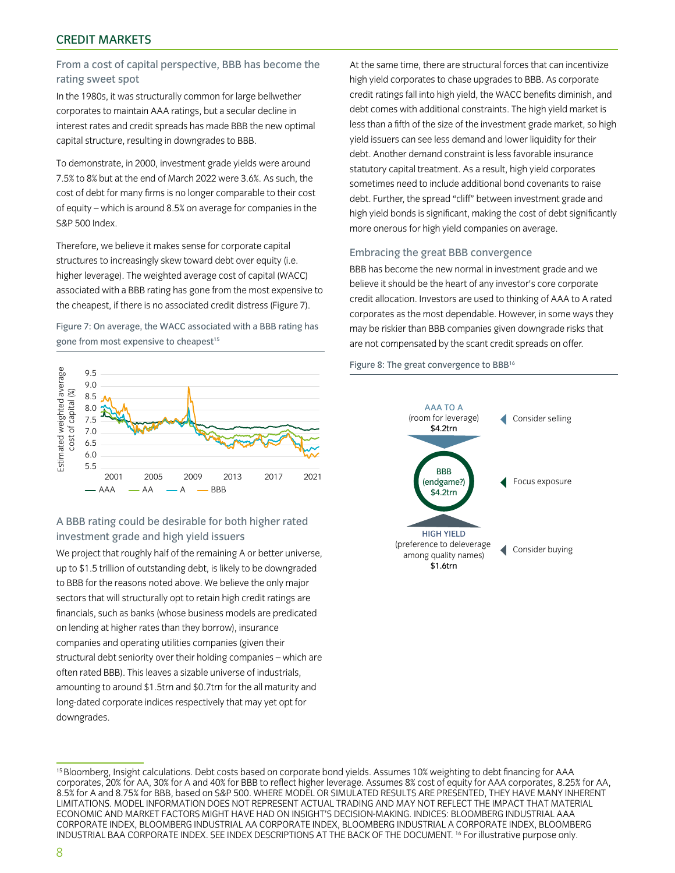# From a cost of capital perspective, BBB has become the rating sweet spot

In the 1980s, it was structurally common for large bellwether corporates to maintain AAA ratings, but a secular decline in interest rates and credit spreads has made BBB the new optimal capital structure, resulting in downgrades to BBB.

To demonstrate, in 2000, investment grade yields were around 7.5% to 8% but at the end of March 2022 were 3.6%. As such, the cost of debt for many firms is no longer comparable to their cost of equity – which is around 8.5% on average for companies in the S&P 500 Index.

Therefore, we believe it makes sense for corporate capital structures to increasingly skew toward debt over equity (i.e. higher leverage). The weighted average cost of capital (WACC) associated with a BBB rating has gone from the most expensive to the cheapest, if there is no associated credit distress (Figure 7).

Figure 7: On average, the WACC associated with a BBB rating has gone from most expensive to cheapest<sup>15</sup>



# A BBB rating could be desirable for both higher rated investment grade and high yield issuers

We project that roughly half of the remaining A or better universe, up to \$1.5 trillion of outstanding debt, is likely to be downgraded to BBB for the reasons noted above. We believe the only major sectors that will structurally opt to retain high credit ratings are financials, such as banks (whose business models are predicated on lending at higher rates than they borrow), insurance companies and operating utilities companies (given their structural debt seniority over their holding companies – which are often rated BBB). This leaves a sizable universe of industrials, amounting to around \$1.5trn and \$0.7trn for the all maturity and long-dated corporate indices respectively that may yet opt for downgrades.

At the same time, there are structural forces that can incentivize high yield corporates to chase upgrades to BBB. As corporate credit ratings fall into high yield, the WACC benefits diminish, and debt comes with additional constraints. The high yield market is less than a fifth of the size of the investment grade market, so high yield issuers can see less demand and lower liquidity for their debt. Another demand constraint is less favorable insurance statutory capital treatment. As a result, high yield corporates sometimes need to include additional bond covenants to raise debt. Further, the spread "cliff" between investment grade and high yield bonds is significant, making the cost of debt significantly more onerous for high yield companies on average.

#### Embracing the great BBB convergence

BBB has become the new normal in investment grade and we believe it should be the heart of any investor's core corporate credit allocation. Investors are used to thinking of AAA to A rated corporates as the most dependable. However, in some ways they may be riskier than BBB companies given downgrade risks that are not compensated by the scant credit spreads on offer.

#### Figure 8: The great convergence to BBB16



<sup>15</sup> Bloomberg, Insight calculations. Debt costs based on corporate bond yields. Assumes 10% weighting to debt financing for AAA corporates, 20% for AA, 30% for A and 40% for BBB to reflect higher leverage. Assumes 8% cost of equity for AAA corporates, 8.25% for AA, 8.5% for A and 8.75% for BBB, based on S&P 500. WHERE MODEL OR SIMULATED RESULTS ARE PRESENTED, THEY HAVE MANY INHERENT LIMITATIONS. MODEL INFORMATION DOES NOT REPRESENT ACTUAL TRADING AND MAY NOT REFLECT THE IMPACT THAT MATERIAL ECONOMIC AND MARKET FACTORS MIGHT HAVE HAD ON INSIGHT'S DECISION-MAKING. INDICES: BLOOMBERG INDUSTRIAL AAA CORPORATE INDEX, BLOOMBERG INDUSTRIAL AA CORPORATE INDEX, BLOOMBERG INDUSTRIAL A CORPORATE INDEX, BLOOMBERG INDUSTRIAL BAA CORPORATE INDEX. SEE INDEX DESCRIPTIONS AT THE BACK OF THE DOCUMENT. 16 For illustrative purpose only.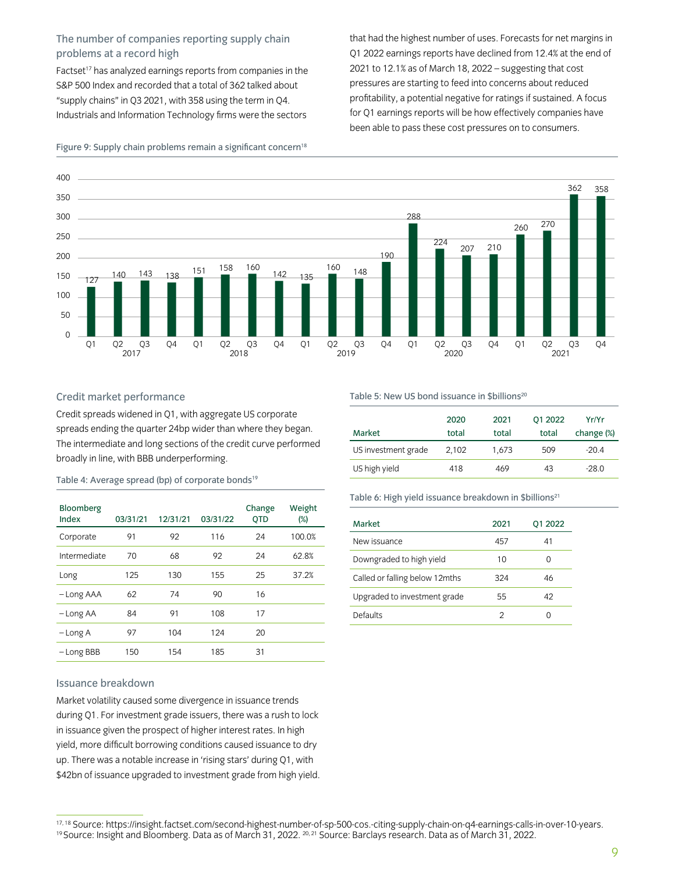# The number of companies reporting supply chain problems at a record high

Factset<sup>17</sup> has analyzed earnings reports from companies in the S&P 500 Index and recorded that a total of 362 talked about "supply chains" in Q3 2021, with 358 using the term in Q4. Industrials and Information Technology firms were the sectors

that had the highest number of uses. Forecasts for net margins in Q1 2022 earnings reports have declined from 12.4% at the end of 2021 to 12.1% as of March 18, 2022 – suggesting that cost pressures are starting to feed into concerns about reduced profitability, a potential negative for ratings if sustained. A focus for Q1 earnings reports will be how effectively companies have been able to pass these cost pressures on to consumers.



#### Figure 9: Supply chain problems remain a significant concern<sup>18</sup>

#### Credit market performance

Credit spreads widened in Q1, with aggregate US corporate spreads ending the quarter 24bp wider than where they began. The intermediate and long sections of the credit curve performed broadly in line, with BBB underperforming.

Table 4: Average spread (bp) of corporate bonds<sup>19</sup>

| Bloomberg<br>Index | 03/31/21 | 12/31/21 | 03/31/22 | Change<br><b>OTD</b> | Weight<br>$(\%)$ |
|--------------------|----------|----------|----------|----------------------|------------------|
| Corporate          | 91       | 92       | 116      | 24                   | 100.0%           |
| Intermediate       | 70       | 68       | 92       | 24                   | 62.8%            |
| Long               | 125      | 130      | 155      | 25                   | 37.2%            |
| - Long AAA         | 62       | 74       | 90       | 16                   |                  |
| -Long AA           | 84       | 91       | 108      | 17                   |                  |
| $-LongA$           | 97       | 104      | 124      | 20                   |                  |
| -Long BBB          | 150      | 154      | 185      | 31                   |                  |

#### Issuance breakdown

Market volatility caused some divergence in issuance trends during Q1. For investment grade issuers, there was a rush to lock in issuance given the prospect of higher interest rates. In high yield, more difficult borrowing conditions caused issuance to dry up. There was a notable increase in 'rising stars' during Q1, with \$42bn of issuance upgraded to investment grade from high yield. Table 5: New US bond issuance in \$billions<sup>20</sup>

| Market              | 2020<br>total | 2021<br>total | 01 2022<br>total | Yr/Yr<br>change (%) |
|---------------------|---------------|---------------|------------------|---------------------|
| US investment grade | 2,102         | 1,673         | 509              | $-20.4$             |
| US high yield       | 418           | 469           | 43               | $-28.0$             |

Table 6: High yield issuance breakdown in \$billions<sup>21</sup>

| Market                          | 2021 | 01 2022 |
|---------------------------------|------|---------|
| New issuance                    | 457  | 41      |
| Downgraded to high yield        | 10   |         |
| Called or falling below 12 mths | 324  | 46      |
| Upgraded to investment grade    | 55   | 42      |
| Defaults                        | 2    |         |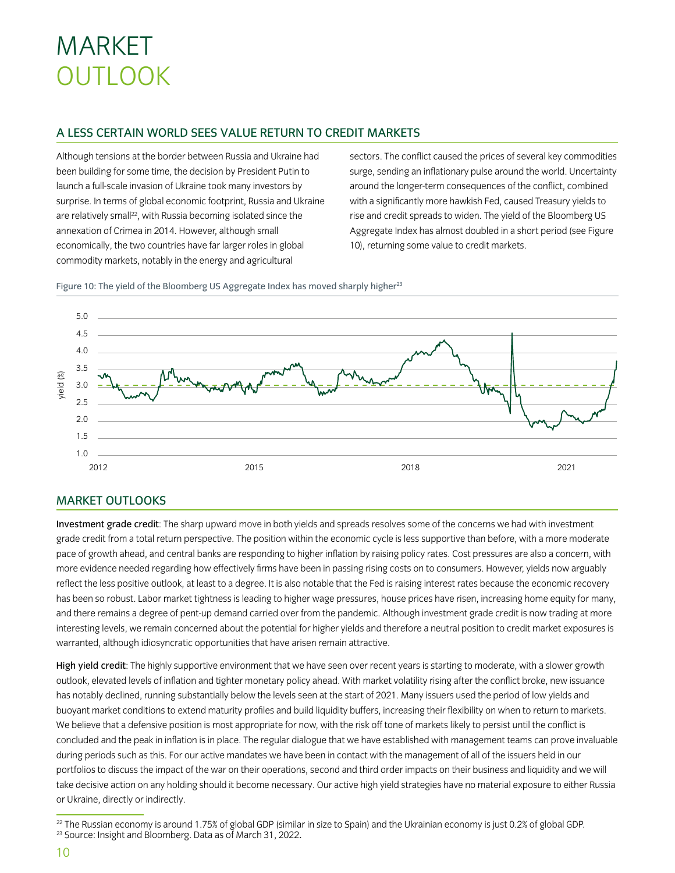# MARKET **OUTLOOK**

# A LESS CERTAIN WORLD SEES VALUE RETURN TO CREDIT MARKETS

Although tensions at the border between Russia and Ukraine had been building for some time, the decision by President Putin to launch a full-scale invasion of Ukraine took many investors by surprise. In terms of global economic footprint, Russia and Ukraine are relatively small<sup>22</sup>, with Russia becoming isolated since the annexation of Crimea in 2014. However, although small economically, the two countries have far larger roles in global commodity markets, notably in the energy and agricultural

sectors. The conflict caused the prices of several key commodities surge, sending an inflationary pulse around the world. Uncertainty around the longer-term consequences of the conflict, combined with a significantly more hawkish Fed, caused Treasury yields to rise and credit spreads to widen. The yield of the Bloomberg US Aggregate Index has almost doubled in a short period (see Figure 10), returning some value to credit markets.



Figure 10: The yield of the Bloomberg US Aggregate Index has moved sharply higher<sup>23</sup>

# MARKET OUTLOOKS

Investment grade credit: The sharp upward move in both yields and spreads resolves some of the concerns we had with investment grade credit from a total return perspective. The position within the economic cycle is less supportive than before, with a more moderate pace of growth ahead, and central banks are responding to higher inflation by raising policy rates. Cost pressures are also a concern, with more evidence needed regarding how effectively firms have been in passing rising costs on to consumers. However, yields now arguably reflect the less positive outlook, at least to a degree. It is also notable that the Fed is raising interest rates because the economic recovery has been so robust. Labor market tightness is leading to higher wage pressures, house prices have risen, increasing home equity for many, and there remains a degree of pent-up demand carried over from the pandemic. Although investment grade credit is now trading at more interesting levels, we remain concerned about the potential for higher yields and therefore a neutral position to credit market exposures is warranted, although idiosyncratic opportunities that have arisen remain attractive.

High yield credit: The highly supportive environment that we have seen over recent years is starting to moderate, with a slower growth outlook, elevated levels of inflation and tighter monetary policy ahead. With market volatility rising after the conflict broke, new issuance has notably declined, running substantially below the levels seen at the start of 2021. Many issuers used the period of low yields and buoyant market conditions to extend maturity profiles and build liquidity buffers, increasing their flexibility on when to return to markets. We believe that a defensive position is most appropriate for now, with the risk off tone of markets likely to persist until the conflict is concluded and the peak in inflation is in place. The regular dialogue that we have established with management teams can prove invaluable during periods such as this. For our active mandates we have been in contact with the management of all of the issuers held in our portfolios to discuss the impact of the war on their operations, second and third order impacts on their business and liquidity and we will take decisive action on any holding should it become necessary. Our active high yield strategies have no material exposure to either Russia or Ukraine, directly or indirectly.

<sup>&</sup>lt;sup>22</sup> The Russian economy is around 1.75% of global GDP (similar in size to Spain) and the Ukrainian economy is just 0.2% of global GDP.<br><sup>23</sup> Source: Insight and Bloomberg. Data as of March 31, 2022.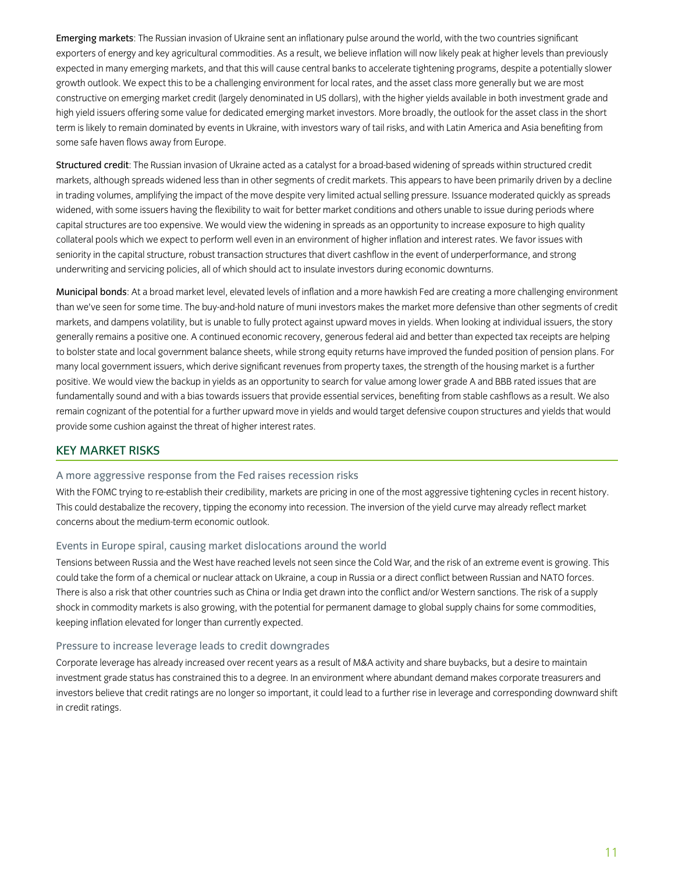Emerging markets: The Russian invasion of Ukraine sent an inflationary pulse around the world, with the two countries significant exporters of energy and key agricultural commodities. As a result, we believe inflation will now likely peak at higher levels than previously expected in many emerging markets, and that this will cause central banks to accelerate tightening programs, despite a potentially slower growth outlook. We expect this to be a challenging environment for local rates, and the asset class more generally but we are most constructive on emerging market credit (largely denominated in US dollars), with the higher yields available in both investment grade and high yield issuers offering some value for dedicated emerging market investors. More broadly, the outlook for the asset class in the short term is likely to remain dominated by events in Ukraine, with investors wary of tail risks, and with Latin America and Asia benefiting from some safe haven flows away from Europe.

Structured credit: The Russian invasion of Ukraine acted as a catalyst for a broad-based widening of spreads within structured credit markets, although spreads widened less than in other segments of credit markets. This appears to have been primarily driven by a decline in trading volumes, amplifying the impact of the move despite very limited actual selling pressure. Issuance moderated quickly as spreads widened, with some issuers having the flexibility to wait for better market conditions and others unable to issue during periods where capital structures are too expensive. We would view the widening in spreads as an opportunity to increase exposure to high quality collateral pools which we expect to perform well even in an environment of higher inflation and interest rates. We favor issues with seniority in the capital structure, robust transaction structures that divert cashflow in the event of underperformance, and strong underwriting and servicing policies, all of which should act to insulate investors during economic downturns.

Municipal bonds: At a broad market level, elevated levels of inflation and a more hawkish Fed are creating a more challenging environment than we've seen for some time. The buy-and-hold nature of muni investors makes the market more defensive than other segments of credit markets, and dampens volatility, but is unable to fully protect against upward moves in yields. When looking at individual issuers, the story generally remains a positive one. A continued economic recovery, generous federal aid and better than expected tax receipts are helping to bolster state and local government balance sheets, while strong equity returns have improved the funded position of pension plans. For many local government issuers, which derive significant revenues from property taxes, the strength of the housing market is a further positive. We would view the backup in yields as an opportunity to search for value among lower grade A and BBB rated issues that are fundamentally sound and with a bias towards issuers that provide essential services, benefiting from stable cashflows as a result. We also remain cognizant of the potential for a further upward move in yields and would target defensive coupon structures and yields that would provide some cushion against the threat of higher interest rates.

### KEY MARKET RISKS

#### A more aggressive response from the Fed raises recession risks

With the FOMC trying to re-establish their credibility, markets are pricing in one of the most aggressive tightening cycles in recent history. This could destabalize the recovery, tipping the economy into recession. The inversion of the yield curve may already reflect market concerns about the medium-term economic outlook.

### Events in Europe spiral, causing market dislocations around the world

Tensions between Russia and the West have reached levels not seen since the Cold War, and the risk of an extreme event is growing. This could take the form of a chemical or nuclear attack on Ukraine, a coup in Russia or a direct conflict between Russian and NATO forces. There is also a risk that other countries such as China or India get drawn into the conflict and/or Western sanctions. The risk of a supply shock in commodity markets is also growing, with the potential for permanent damage to global supply chains for some commodities, keeping inflation elevated for longer than currently expected.

### Pressure to increase leverage leads to credit downgrades

Corporate leverage has already increased over recent years as a result of M&A activity and share buybacks, but a desire to maintain investment grade status has constrained this to a degree. In an environment where abundant demand makes corporate treasurers and investors believe that credit ratings are no longer so important, it could lead to a further rise in leverage and corresponding downward shift in credit ratings.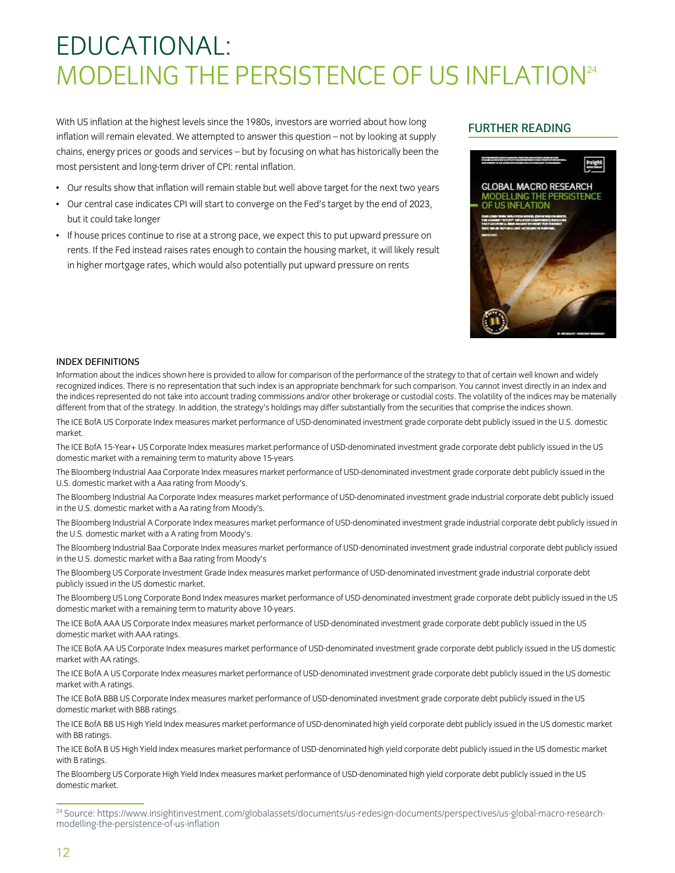# EDUCATIONAL: MODELING THE PERSISTENCE OF US INFLATION<sup>24</sup>

With US inflation at the highest levels since the 1980s, investors are worried about how long inflation will remain elevated. We attempted to answer this question – not by looking at supply chains, energy prices or goods and services – but by focusing on what has historically been the most persistent and long-term driver of CPI: rental inflation.

#### • Our results show that inflation will remain stable but well above target for the next two years

- Our central case indicates CPI will start to converge on the Fed's target by the end of 2023, but it could take longer
- If house prices continue to rise at a strong pace, we expect this to put upward pressure on rents. If the Fed instead raises rates enough to contain the housing market, it will likely result in higher mortgage rates, which would also potentially put upward pressure on rents

### FURTHER READING



#### INDEX DEFINITIONS

Information about the indices shown here is provided to allow for comparison of the performance of the strategy to that of certain well known and widely recognized indices. There is no representation that such index is an appropriate benchmark for such comparison. You cannot invest directly in an index and the indices represented do not take into account trading commissions and/or other brokerage or custodial costs. The volatility of the indices may be materially different from that of the strategy. In addition, the strategy's holdings may differ substantially from the securities that comprise the indices shown.

The ICE BofA US Corporate Index measures market performance of USD-denominated investment grade corporate debt publicly issued in the U.S. domestic market.

The ICE BofA 15-Year+ US Corporate Index measures market performance of USD-denominated investment grade corporate debt publicly issued in the US domestic market with a remaining term to maturity above 15-years.

The Bloomberg Industrial Aaa Corporate Index measures market performance of USD-denominated investment grade corporate debt publicly issued in the U.S. domestic market with a Aaa rating from Moody's.

The Bloomberg Industrial Aa Corporate Index measures market performance of USD-denominated investment grade industrial corporate debt publicly issued in the U.S. domestic market with a Aa rating from Moody's.

The Bloomberg Industrial A Corporate Index measures market performance of USD-denominated investment grade industrial corporate debt publicly issued in the U.S. domestic market with a A rating from Moody's.

The Bloomberg Industrial Baa Corporate Index measures market performance of USD-denominated investment grade industrial corporate debt publicly issued in the U.S. domestic market with a Baa rating from Moody's

The Bloomberg US Corporate Investment Grade Index measures market performance of USD-denominated investment grade industrial corporate debt publicly issued in the US domestic market.

The Bloomberg US Long Corporate Bond Index measures market performance of USD-denominated investment grade corporate debt publicly issued in the US domestic market with a remaining term to maturity above 10-years.

The ICE BofA AAA US Corporate Index measures market performance of USD-denominated investment grade corporate debt publicly issued in the US domestic market with AAA ratings.

The ICE BofA AA US Corporate Index measures market performance of USD-denominated investment grade corporate debt publicly issued in the US domestic market with AA ratings.

The ICE BofA A US Corporate Index measures market performance of USD-denominated investment grade corporate debt publicly issued in the US domestic market with A ratings.

The ICE BofA BBB US Corporate Index measures market performance of USD-denominated investment grade corporate debt publicly issued in the US domestic market with BBB ratings.

The ICE BofA BB US High Yield Index measures market performance of USD-denominated high yield corporate debt publicly issued in the US domestic market with BB ratings.

The ICE BofA B US High Yield Index measures market performance of USD-denominated high yield corporate debt publicly issued in the US domestic market with B ratings.

The Bloomberg US Corporate High Yield Index measures market performance of USD-denominated high yield corporate debt publicly issued in the US domestic market.

<sup>24</sup> Source: https://www.insightinvestment.com/globalassets/documents/us-redesign-documents/perspectives/us-global-macro-researchmodelling-the-persistence-of-us-inflation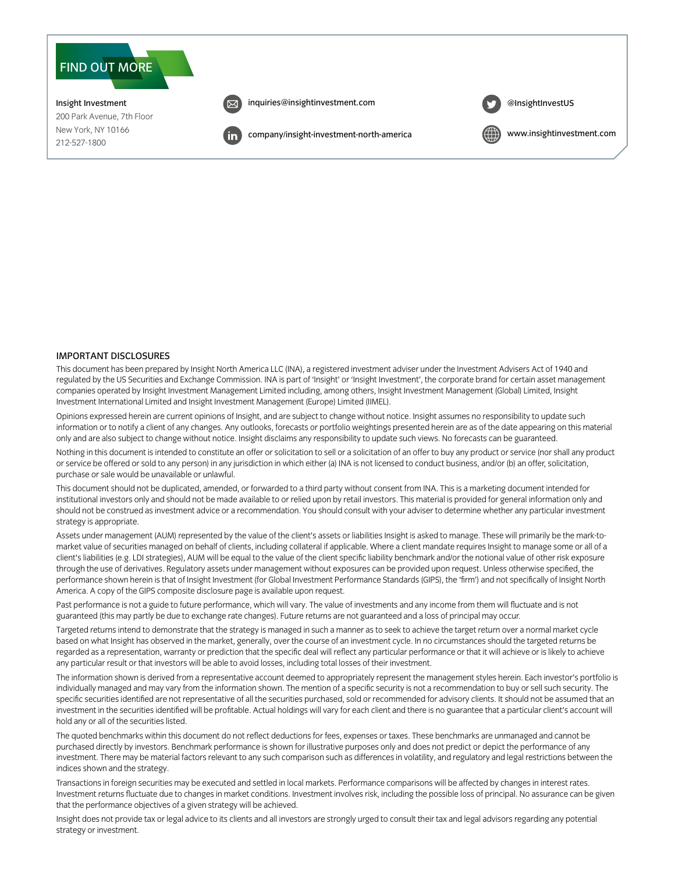

#### IMPORTANT DISCLOSURES

This document has been prepared by Insight North America LLC (INA), a registered investment adviser under the Investment Advisers Act of 1940 and regulated by the US Securities and Exchange Commission. INA is part of 'Insight' or 'Insight Investment', the corporate brand for certain asset management companies operated by Insight Investment Management Limited including, among others, Insight Investment Management (Global) Limited, Insight Investment International Limited and Insight Investment Management (Europe) Limited (IIMEL).

Opinions expressed herein are current opinions of Insight, and are subject to change without notice. Insight assumes no responsibility to update such information or to notify a client of any changes. Any outlooks, forecasts or portfolio weightings presented herein are as of the date appearing on this material only and are also subject to change without notice. Insight disclaims any responsibility to update such views. No forecasts can be guaranteed.

Nothing in this document is intended to constitute an offer or solicitation to sell or a solicitation of an offer to buy any product or service (nor shall any product or service be offered or sold to any person) in any jurisdiction in which either (a) INA is not licensed to conduct business, and/or (b) an offer, solicitation, purchase or sale would be unavailable or unlawful.

This document should not be duplicated, amended, or forwarded to a third party without consent from INA. This is a marketing document intended for institutional investors only and should not be made available to or relied upon by retail investors. This material is provided for general information only and should not be construed as investment advice or a recommendation. You should consult with your adviser to determine whether any particular investment strategy is appropriate.

Assets under management (AUM) represented by the value of the client's assets or liabilities Insight is asked to manage. These will primarily be the mark-tomarket value of securities managed on behalf of clients, including collateral if applicable. Where a client mandate requires Insight to manage some or all of a client's liabilities (e.g. LDI strategies), AUM will be equal to the value of the client specific liability benchmark and/or the notional value of other risk exposure through the use of derivatives. Regulatory assets under management without exposures can be provided upon request. Unless otherwise specified, the performance shown herein is that of Insight Investment (for Global Investment Performance Standards (GIPS), the 'firm') and not specifically of Insight North America. A copy of the GIPS composite disclosure page is available upon request.

Past performance is not a guide to future performance, which will vary. The value of investments and any income from them will fluctuate and is not guaranteed (this may partly be due to exchange rate changes). Future returns are not guaranteed and a loss of principal may occur.

Targeted returns intend to demonstrate that the strategy is managed in such a manner as to seek to achieve the target return over a normal market cycle based on what Insight has observed in the market, generally, over the course of an investment cycle. In no circumstances should the targeted returns be regarded as a representation, warranty or prediction that the specific deal will reflect any particular performance or that it will achieve or is likely to achieve any particular result or that investors will be able to avoid losses, including total losses of their investment.

The information shown is derived from a representative account deemed to appropriately represent the management styles herein. Each investor's portfolio is individually managed and may vary from the information shown. The mention of a specific security is not a recommendation to buy or sell such security. The specific securities identified are not representative of all the securities purchased, sold or recommended for advisory clients. It should not be assumed that an investment in the securities identified will be profitable. Actual holdings will vary for each client and there is no guarantee that a particular client's account will hold any or all of the securities listed.

The quoted benchmarks within this document do not reflect deductions for fees, expenses or taxes. These benchmarks are unmanaged and cannot be purchased directly by investors. Benchmark performance is shown for illustrative purposes only and does not predict or depict the performance of any investment. There may be material factors relevant to any such comparison such as differences in volatility, and regulatory and legal restrictions between the indices shown and the strategy.

Transactions in foreign securities may be executed and settled in local markets. Performance comparisons will be affected by changes in interest rates. Investment returns fluctuate due to changes in market conditions. Investment involves risk, including the possible loss of principal. No assurance can be given that the performance objectives of a given strategy will be achieved.

Insight does not provide tax or legal advice to its clients and all investors are strongly urged to consult their tax and legal advisors regarding any potential strategy or investment.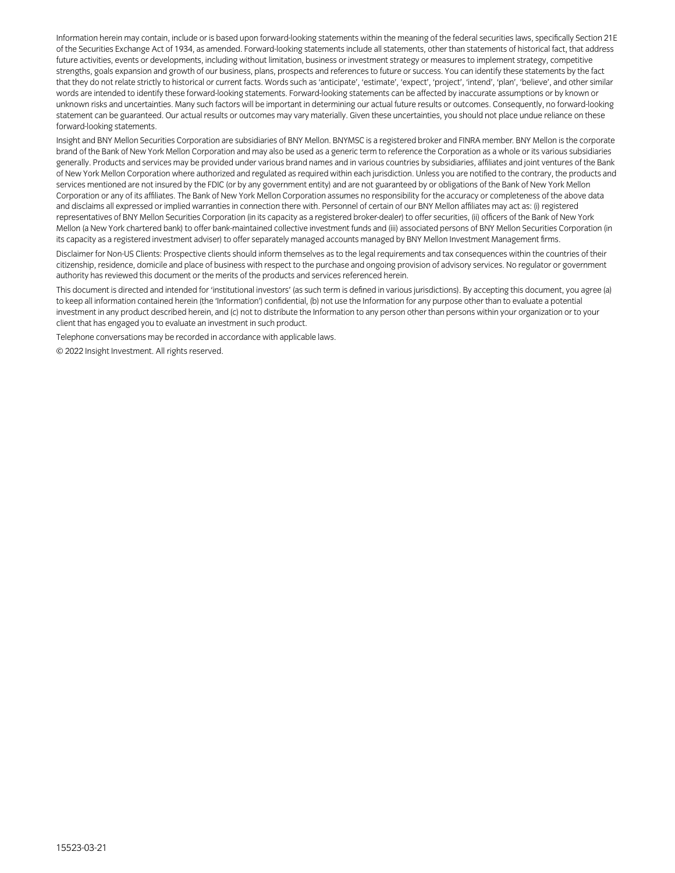Information herein may contain, include or is based upon forward-looking statements within the meaning of the federal securities laws, specifically Section 21E of the Securities Exchange Act of 1934, as amended. Forward-looking statements include all statements, other than statements of historical fact, that address future activities, events or developments, including without limitation, business or investment strategy or measures to implement strategy, competitive strengths, goals expansion and growth of our business, plans, prospects and references to future or success. You can identify these statements by the fact that they do not relate strictly to historical or current facts. Words such as 'anticipate', 'estimate', 'expect', 'project', 'intend', 'plan', 'believe', and other similar words are intended to identify these forward-looking statements. Forward-looking statements can be affected by inaccurate assumptions or by known or unknown risks and uncertainties. Many such factors will be important in determining our actual future results or outcomes. Consequently, no forward-looking statement can be guaranteed. Our actual results or outcomes may vary materially. Given these uncertainties, you should not place undue reliance on these forward-looking statements.

Insight and BNY Mellon Securities Corporation are subsidiaries of BNY Mellon. BNYMSC is a registered broker and FINRA member. BNY Mellon is the corporate brand of the Bank of New York Mellon Corporation and may also be used as a generic term to reference the Corporation as a whole or its various subsidiaries generally. Products and services may be provided under various brand names and in various countries by subsidiaries, affiliates and joint ventures of the Bank of New York Mellon Corporation where authorized and regulated as required within each jurisdiction. Unless you are notified to the contrary, the products and services mentioned are not insured by the FDIC (or by any government entity) and are not guaranteed by or obligations of the Bank of New York Mellon Corporation or any of its affiliates. The Bank of New York Mellon Corporation assumes no responsibility for the accuracy or completeness of the above data and disclaims all expressed or implied warranties in connection there with. Personnel of certain of our BNY Mellon affiliates may act as: (i) registered representatives of BNY Mellon Securities Corporation (in its capacity as a registered broker-dealer) to offer securities, (ii) officers of the Bank of New York Mellon (a New York chartered bank) to offer bank-maintained collective investment funds and (iii) associated persons of BNY Mellon Securities Corporation (in its capacity as a registered investment adviser) to offer separately managed accounts managed by BNY Mellon Investment Management firms.

Disclaimer for Non-US Clients: Prospective clients should inform themselves as to the legal requirements and tax consequences within the countries of their citizenship, residence, domicile and place of business with respect to the purchase and ongoing provision of advisory services. No regulator or government authority has reviewed this document or the merits of the products and services referenced herein.

This document is directed and intended for 'institutional investors' (as such term is defined in various jurisdictions). By accepting this document, you agree (a) to keep all information contained herein (the 'Information') confidential, (b) not use the Information for any purpose other than to evaluate a potential investment in any product described herein, and (c) not to distribute the Information to any person other than persons within your organization or to your client that has engaged you to evaluate an investment in such product.

Telephone conversations may be recorded in accordance with applicable laws.

© 2022 Insight Investment. All rights reserved.